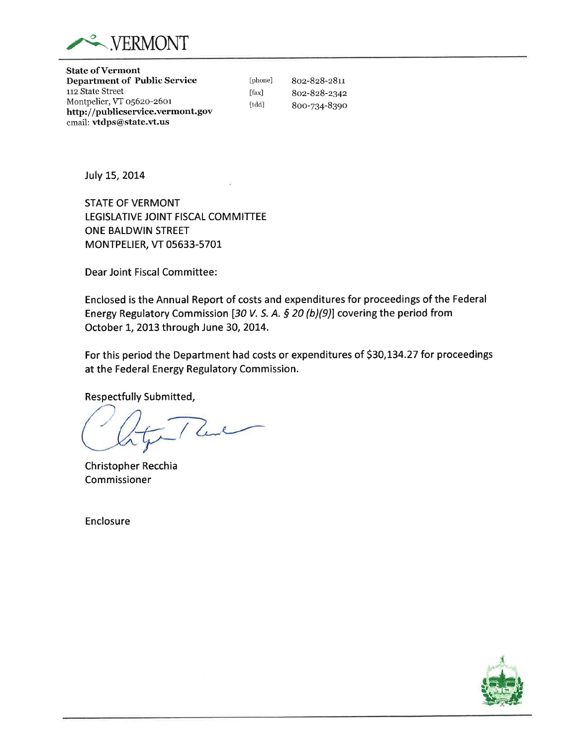

**State of Vermont Department of Public Service** 112 State Street Montpelier, VT 05620-2601 http://publicservice.vermont.gov email: vtdps@state.vt.us

[phone] 802-828-2811 [fax] 802-828-2342 [tdd] 800-734-8390

July 15, 2014

**STATE OF VERMONT** LEGISLATIVE JOINT FISCAL COMMITTEE ONE BALDWIN STREET MONTPELIER, VT 05633-5701

Dear Joint Fiscal Committee:

Enclosed is the Annual Report of costs and expenditures for proceedings of the Federal Energy Regulatory Commission [30 V. S. A. § 20 (b)(9)] covering the period from October 1, 2013 through June 30, 2014.

For this period the Department had costs or expenditures of \$30,134.27 for proceedings at the Federal Energy Regulatory Commission.

**Respectfully Submitted,** 

Luc

Christopher Recchia Commissioner

Enclosure